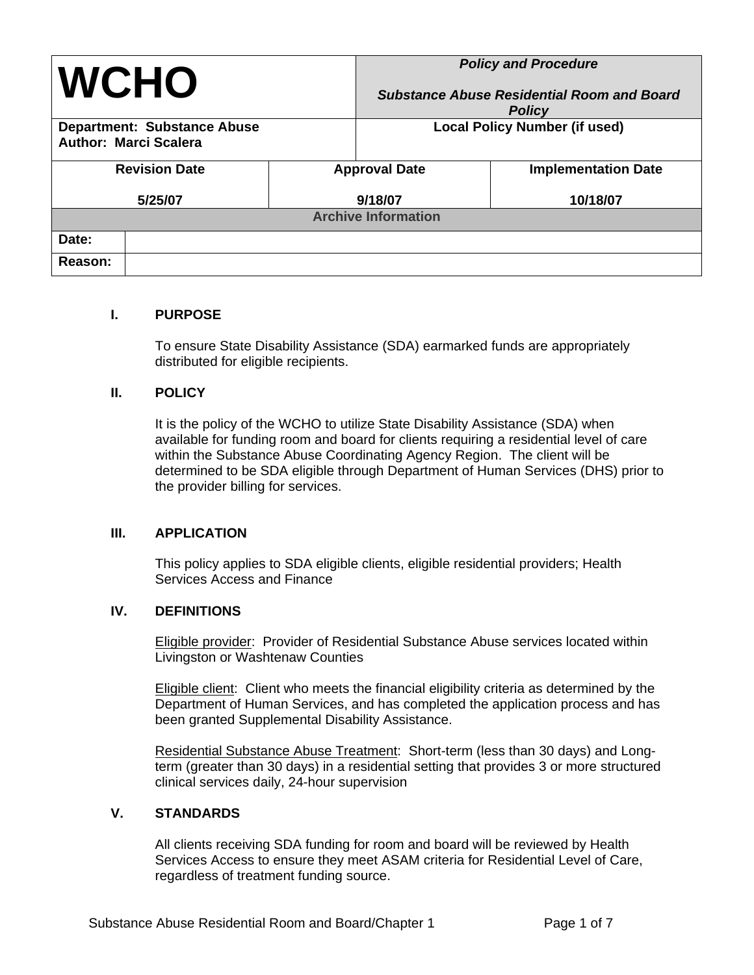| <b>WCHO</b>                                                        |         | <b>Policy and Procedure</b><br><b>Substance Abuse Residential Room and Board</b><br><b>Policy</b> |                            |  |  |
|--------------------------------------------------------------------|---------|---------------------------------------------------------------------------------------------------|----------------------------|--|--|
| <b>Department: Substance Abuse</b><br><b>Author: Marci Scalera</b> |         | <b>Local Policy Number (if used)</b>                                                              |                            |  |  |
| <b>Revision Date</b>                                               |         | <b>Approval Date</b>                                                                              | <b>Implementation Date</b> |  |  |
| 5/25/07                                                            | 9/18/07 |                                                                                                   | 10/18/07                   |  |  |
| <b>Archive Information</b>                                         |         |                                                                                                   |                            |  |  |
| Date:                                                              |         |                                                                                                   |                            |  |  |
| Reason:                                                            |         |                                                                                                   |                            |  |  |

#### **I. PURPOSE**

To ensure State Disability Assistance (SDA) earmarked funds are appropriately distributed for eligible recipients.

#### **II. POLICY**

It is the policy of the WCHO to utilize State Disability Assistance (SDA) when available for funding room and board for clients requiring a residential level of care within the Substance Abuse Coordinating Agency Region. The client will be determined to be SDA eligible through Department of Human Services (DHS) prior to the provider billing for services.

#### **III. APPLICATION**

This policy applies to SDA eligible clients, eligible residential providers; Health Services Access and Finance

#### **IV. DEFINITIONS**

Eligible provider: Provider of Residential Substance Abuse services located within Livingston or Washtenaw Counties

Eligible client:Client who meets the financial eligibility criteria as determined by the Department of Human Services, and has completed the application process and has been granted Supplemental Disability Assistance.

Residential Substance Abuse Treatment:Short-term (less than 30 days) and Longterm (greater than 30 days) in a residential setting that provides 3 or more structured clinical services daily, 24-hour supervision

## **V. STANDARDS**

All clients receiving SDA funding for room and board will be reviewed by Health Services Access to ensure they meet ASAM criteria for Residential Level of Care, regardless of treatment funding source.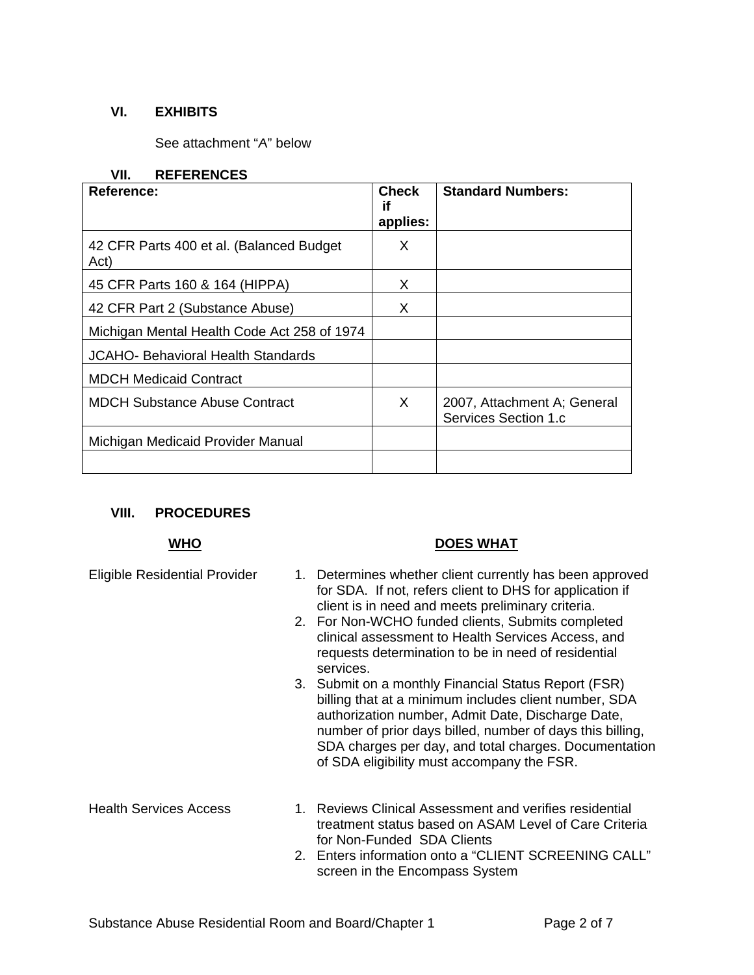## **VI. EXHIBITS**

See attachment "A" below

#### **VII. REFERENCES**

| <b>Reference:</b>                                | <b>Check</b><br>if<br>applies: | <b>Standard Numbers:</b>                            |
|--------------------------------------------------|--------------------------------|-----------------------------------------------------|
| 42 CFR Parts 400 et al. (Balanced Budget<br>Act) | X                              |                                                     |
| 45 CFR Parts 160 & 164 (HIPPA)                   | X                              |                                                     |
| 42 CFR Part 2 (Substance Abuse)                  | x                              |                                                     |
| Michigan Mental Health Code Act 258 of 1974      |                                |                                                     |
| JCAHO- Behavioral Health Standards               |                                |                                                     |
| <b>MDCH Medicaid Contract</b>                    |                                |                                                     |
| <b>MDCH Substance Abuse Contract</b>             | X                              | 2007, Attachment A; General<br>Services Section 1.c |
| Michigan Medicaid Provider Manual                |                                |                                                     |
|                                                  |                                |                                                     |

## **VIII. PROCEDURES**

## **WHO DOES WHAT**

- Eligible Residential Provider 1. Determines whether client currently has been approved for SDA. If not, refers client to DHS for application if client is in need and meets preliminary criteria.
	- 2. For Non-WCHO funded clients, Submits completed clinical assessment to Health Services Access, and requests determination to be in need of residential services.
	- 3. Submit on a monthly Financial Status Report (FSR) billing that at a minimum includes client number, SDA authorization number, Admit Date, Discharge Date, number of prior days billed, number of days this billing, SDA charges per day, and total charges. Documentation of SDA eligibility must accompany the FSR.

- Health Services Access 1. Reviews Clinical Assessment and verifies residential treatment status based on ASAM Level of Care Criteria for Non-Funded SDA Clients
	- 2. Enters information onto a "CLIENT SCREENING CALL" screen in the Encompass System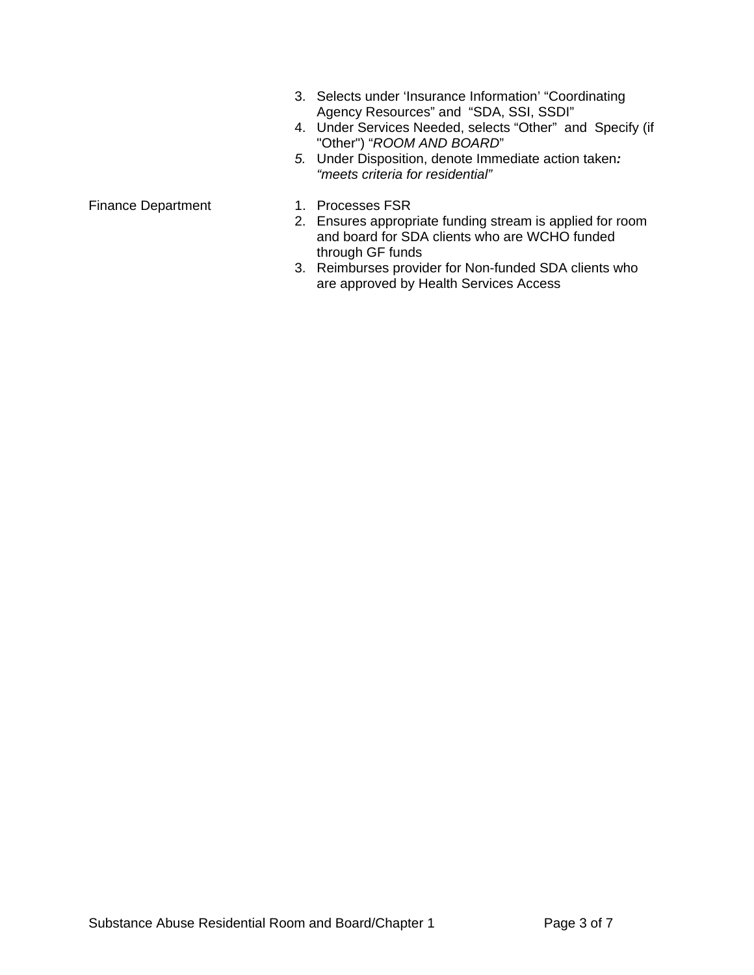- 3. Selects under 'Insurance Information' "Coordinating Agency Resources" and "SDA, SSI, SSDI"
- 4. Under Services Needed, selects "Other" and Specify (if "Other") "*ROOM AND BOARD*"
- *5.* Under Disposition, denote Immediate action taken*: "meets criteria for residential"*

- Finance Department 1. Processes FSR
	- 2. Ensures appropriate funding stream is applied for room and board for SDA clients who are WCHO funded through GF funds
	- 3. Reimburses provider for Non-funded SDA clients who are approved by Health Services Access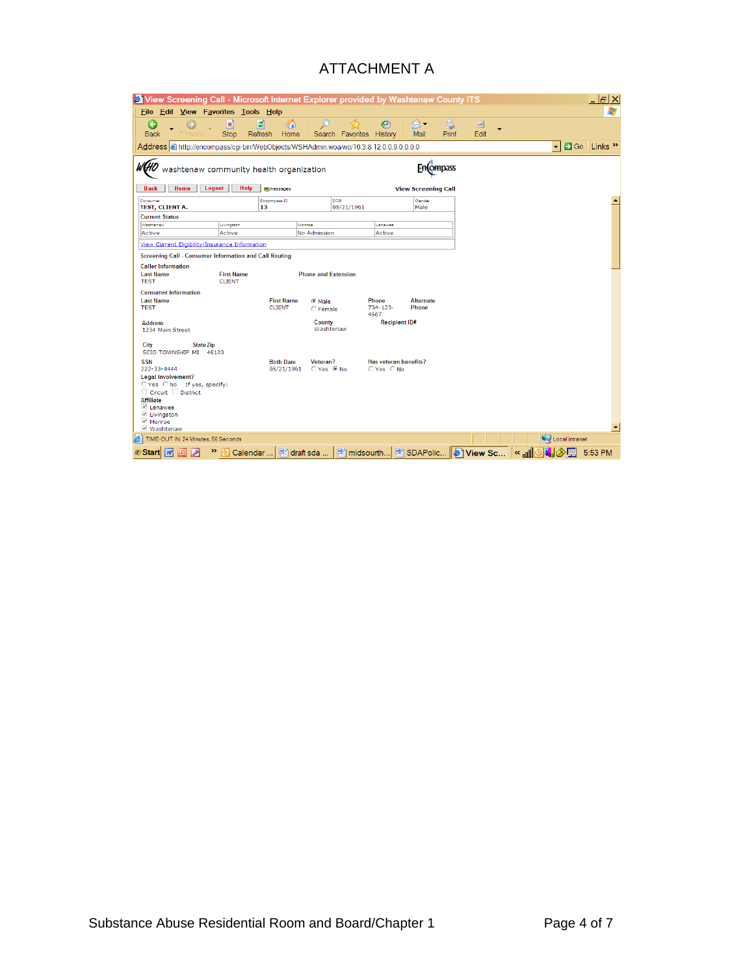## ATTACHMENT A

| <b>C</b> View Screening Call - Microsoft Internet Explorer provided by Washtenaw County ITS<br>- PIX                                    |                                                               |                                                                |                                                   |                                                        |
|-----------------------------------------------------------------------------------------------------------------------------------------|---------------------------------------------------------------|----------------------------------------------------------------|---------------------------------------------------|--------------------------------------------------------|
| 4<br>Edit View Favorites Tools Help<br>File                                                                                             |                                                               |                                                                |                                                   |                                                        |
| ×<br>e<br><b>Back</b><br><b>Stop</b><br>Forward                                                                                         | Ð<br>⋒<br>Refresh<br>Home<br>Search                           | 52<br>€<br>R,<br>History<br>Favorites<br>Mail                  | è<br>$\ensuremath{\overline{w}}$<br>Edit<br>Print |                                                        |
| Address in the illencompass/cqi-bin/WebObjects/WSHAdmin.woa/wo/16.3.8.12.0.0.9.0.0.0.0                                                  |                                                               |                                                                |                                                   | S Go Links <sup>&gt;&gt;</sup><br>$\blacktriangledown$ |
| washtenaw community health organization<br>Fn(ompass<br>Home<br>Logout<br>Help<br><b>Back</b><br>messages<br><b>View Screening Call</b> |                                                               |                                                                |                                                   |                                                        |
| Consumer                                                                                                                                | DOB<br>Encompass ID                                           | Gender                                                         |                                                   |                                                        |
| TEST, CLIENT A.                                                                                                                         | 13                                                            | 05/21/1961<br>Male                                             |                                                   |                                                        |
| <b>Current Status</b>                                                                                                                   |                                                               |                                                                |                                                   |                                                        |
| Washtenaw<br>Livingston                                                                                                                 | Monroe                                                        | Lenawee                                                        |                                                   |                                                        |
| Active<br>Active                                                                                                                        | No Admission                                                  | Active                                                         |                                                   |                                                        |
| View Current Eligibility/Insurance Information                                                                                          |                                                               |                                                                |                                                   |                                                        |
| Screening Call - Consumer Information and Call Routing                                                                                  |                                                               |                                                                |                                                   |                                                        |
| <b>Caller Information</b>                                                                                                               |                                                               |                                                                |                                                   |                                                        |
| <b>Last Name</b><br><b>First Name</b><br><b>TEST</b><br><b>CLIENT</b>                                                                   | <b>Phone and Extension</b>                                    |                                                                |                                                   |                                                        |
| <b>Consumer Information</b>                                                                                                             |                                                               |                                                                |                                                   |                                                        |
| <b>Last Name</b>                                                                                                                        | <b>First Name</b><br>C Male                                   | Phone<br><b>Alternate</b>                                      |                                                   |                                                        |
| <b>TEST</b>                                                                                                                             | <b>CLIENT</b><br>C Female                                     | Phone<br>$734 - 123 -$<br>4567                                 |                                                   |                                                        |
| <b>Address</b><br>1234 Main Street                                                                                                      | County<br>Washtenaw                                           | <b>Recipient ID#</b>                                           |                                                   |                                                        |
| City<br><b>State Zip</b><br>SCIO TOWNSHIP MI 48103                                                                                      |                                                               |                                                                |                                                   |                                                        |
| <b>SSN</b><br>222-33-4444                                                                                                               | <b>Birth Date</b><br>Veteran?<br>$C$ Yes $C$ No<br>05/21/1961 | Has veteran benefits?<br>$OYes$ $ONo$                          |                                                   |                                                        |
| <b>Legal Involvement?</b>                                                                                                               |                                                               |                                                                |                                                   |                                                        |
| O Yes O No If yes, specify:<br>$\Box$ Circuit $\Box$ District                                                                           |                                                               |                                                                |                                                   |                                                        |
| <b>Affiliate</b>                                                                                                                        |                                                               |                                                                |                                                   |                                                        |
| $\vee$ Lenawee                                                                                                                          |                                                               |                                                                |                                                   |                                                        |
| <b>■</b> Livingston<br>$M$ Monroe                                                                                                       |                                                               |                                                                |                                                   |                                                        |
| √ Washtenaw                                                                                                                             |                                                               |                                                                |                                                   |                                                        |
| TIME-OUT IN: 24 Minutes, 56 Seconds                                                                                                     |                                                               |                                                                |                                                   | Local intranet                                         |
| $\sqrt{3}$<br><b><i>d</i></b> Start                                                                                                     | <sup>»</sup> 图 Calendar    젤 draft sda                        | │ <sup>a</sup> midsourth   2 SDAPolic   <mark>● View Sc</mark> |                                                   | RAN©M™<br>5:53 PM                                      |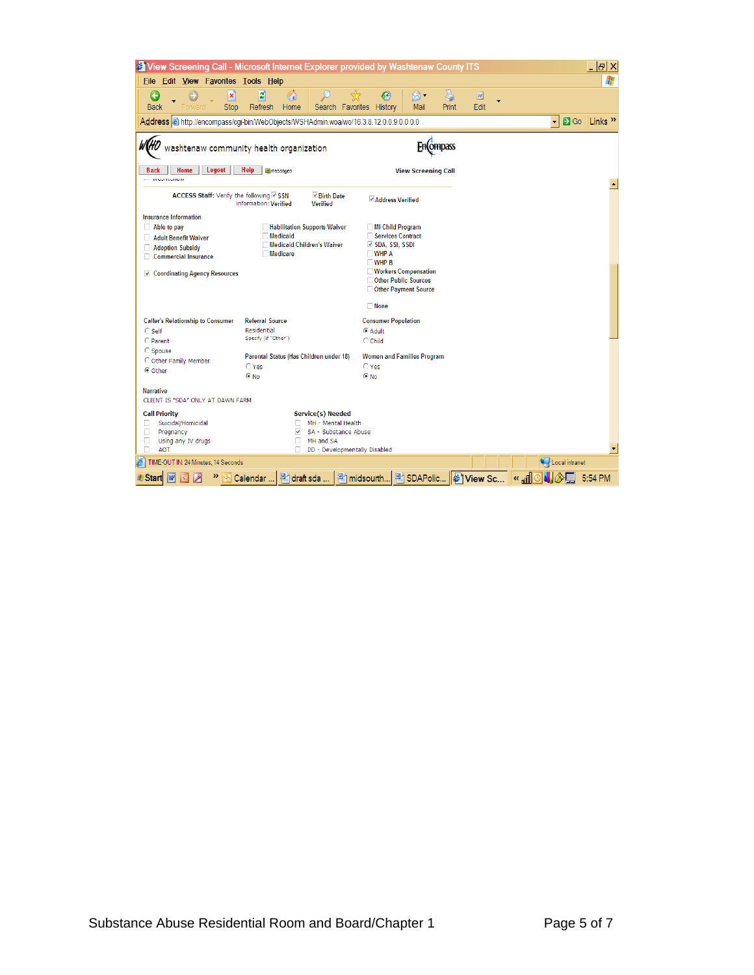| <sup>2</sup> View Screening Call - Microsoft Internet Explorer provided by Washtenaw County ITS<br>- PIX                                                  |                                                                                                                               |                                                                                                                                                                                               |           |                                                                   |  |
|-----------------------------------------------------------------------------------------------------------------------------------------------------------|-------------------------------------------------------------------------------------------------------------------------------|-----------------------------------------------------------------------------------------------------------------------------------------------------------------------------------------------|-----------|-------------------------------------------------------------------|--|
| Edit View Favorites Tools Help<br><b>File</b>                                                                                                             |                                                                                                                               |                                                                                                                                                                                               |           |                                                                   |  |
| ×<br>e<br><b>Back</b><br><b>Stop</b><br>Forward                                                                                                           | 이<br>命<br>Refresh<br>Home<br>Favorites<br>Search                                                                              | 5<br>R -<br>$\boldsymbol{\mathscr{G}}$<br>History<br>Mail<br>Print                                                                                                                            | 团<br>Edit |                                                                   |  |
|                                                                                                                                                           | Address that the lencompass/cqi-bin/WebObjects/WSHAdmin.woa/wo/16.3.8.12.0.0.9.0.0.0.0                                        |                                                                                                                                                                                               |           | <b>B</b> Go Links <sup>&gt;&gt;</sup><br>$\vert \mathbf{v} \vert$ |  |
| Home<br>Logout<br><b>Back</b>                                                                                                                             | washtenaw community health organization<br>Help<br>messages                                                                   | Fn(ompass<br><b>View Screening Call</b>                                                                                                                                                       |           |                                                                   |  |
| <b>CONTRACTOR</b>                                                                                                                                         |                                                                                                                               |                                                                                                                                                                                               |           |                                                                   |  |
| ACCESS Staff: Verify the following ☑ SSN                                                                                                                  | <b>Example Birth Date</b><br>information: Verified<br><b>Verified</b>                                                         | <b>√Address Verified</b>                                                                                                                                                                      |           |                                                                   |  |
| <b>Insurance Information</b><br>$\Box$ Able to pay<br>Adult Benefit Waiver<br>Adoption Subsidy<br>Commercial Insurance<br>☑ Coordinating Agency Resources | Habilitation Supports Waiver<br><b>Medicaid</b><br><b>Medicaid Children's Waiver</b><br><b>Medicare</b>                       | MI Child Program<br>Services Contract<br>$\vee$ SDA, SSI, SSDI<br>$\square$ WHP A<br>$\square$ WHP B<br><b>Workers Compensation</b><br>Other Public Sources<br>Other Payment Source<br>□ None |           |                                                                   |  |
| <b>Caller's Relationship to Consumer</b><br>$\bigcirc$ Self<br>C Parent                                                                                   | <b>Referral Source</b><br>Residential<br>Specify (if "Other")                                                                 | <b>Consumer Population</b><br>C Adult<br>$\bigcirc$ Child                                                                                                                                     |           |                                                                   |  |
| C Spouse<br>O Other Family Member<br>C Other                                                                                                              | Parental Status (Has Children under 18)<br>$\bigcirc$ Yes<br>$@$ No                                                           | <b>Women and Families Program</b><br>$\bigcirc$ Yes<br>C No                                                                                                                                   |           |                                                                   |  |
| <b>Narrative</b><br>CLIENT IS "SDA" ONLY AT DAWN FARM                                                                                                     |                                                                                                                               |                                                                                                                                                                                               |           |                                                                   |  |
| <b>Call Priority</b><br>Suicidal/Homicidal<br>п<br>П<br>Pregnancy<br>П<br>Using any IV drugs<br>п<br><b>AOT</b>                                           | Service(s) Needed<br>MH - Mental Health<br>SA - Substance Abuse<br>⊽<br>п.<br>MH and SA<br>п<br>DD - Developmentally Disabled |                                                                                                                                                                                               |           |                                                                   |  |
| TIME-OUT IN: 24 Minutes, 14 Seconds<br>Local intranet                                                                                                     |                                                                                                                               |                                                                                                                                                                                               |           |                                                                   |  |
| W<br>Start                                                                                                                                                | draft sda<br>$\mathbb{E}$ Calendar                                                                                            | 图 midsourth B SDAPolic 6 View Sc                                                                                                                                                              |           | « "⊪<br>Θ<br>5:54 PM                                              |  |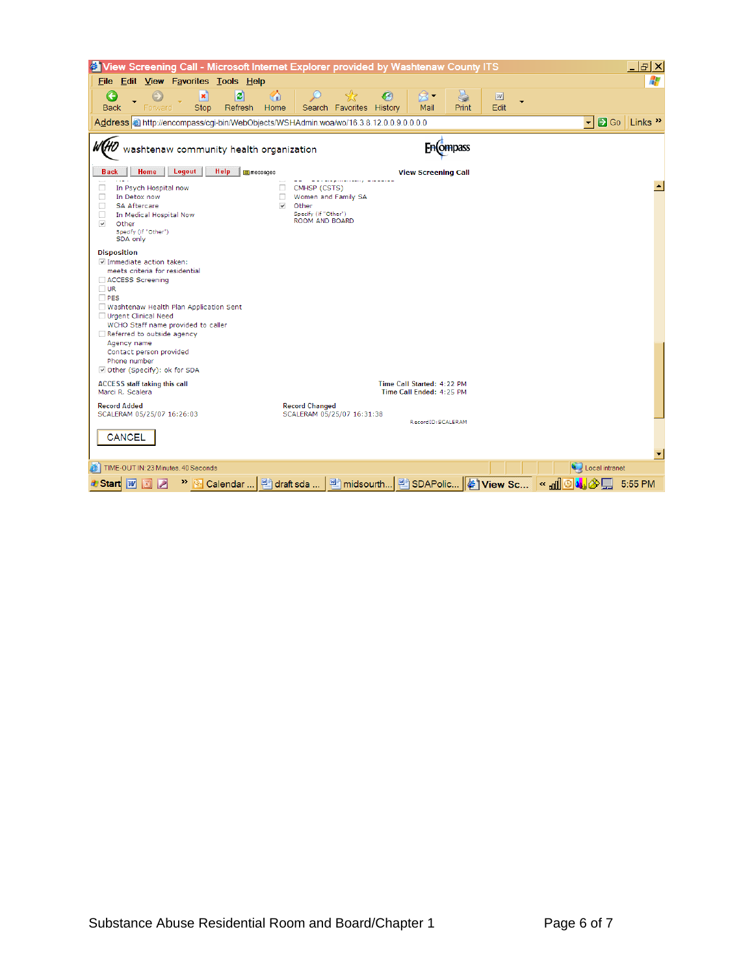| Tiew Screening Call - Microsoft Internet Explorer provided by Washtenaw County ITS                                                                                                                                                                              |                                                                                                   |                                                        |           | 15   X                                      |
|-----------------------------------------------------------------------------------------------------------------------------------------------------------------------------------------------------------------------------------------------------------------|---------------------------------------------------------------------------------------------------|--------------------------------------------------------|-----------|---------------------------------------------|
| Edit View Favorites Tools Help<br><b>File</b>                                                                                                                                                                                                                   |                                                                                                   |                                                        |           | Æ                                           |
| $ \boldsymbol{z} $<br>×<br><b>Back</b><br>Refresh<br>Forward<br><b>Stop</b>                                                                                                                                                                                     | <b>K</b><br>Home<br>Search Favorites History                                                      | ę<br>$\mathcal{G}_1$<br>⊠ -<br>Mail<br>Print           | W<br>Edit |                                             |
| Address <b>in</b> http://encompass/cqi-bin/WebObjects/WSHAdmin.woa/wo/16.3.8.12.0.0.9.0.0.0.0                                                                                                                                                                   |                                                                                                   |                                                        |           | <b>B</b> Go Links »<br>$\blacktriangledown$ |
| washtenaw community health organization                                                                                                                                                                                                                         |                                                                                                   | En(ompass                                              |           |                                             |
| Home<br>Logout<br>Help<br><b>Back</b>                                                                                                                                                                                                                           | <b>E</b> messages                                                                                 | <b>View Screening Call</b>                             |           |                                             |
| П<br>In Psych Hospital now<br>п<br>In Detox now<br>□<br><b>SA Aftercare</b><br>о<br>In Medical Hospital Now<br>▽<br>Other<br>Specify (if "Other")<br>SDA only                                                                                                   | CMHSP (CSTS)<br>Women and Family SA<br>п.<br>⊽<br>Other<br>Specify (if "Other")<br>ROOM AND BOARD |                                                        |           |                                             |
| <b>Disposition</b>                                                                                                                                                                                                                                              |                                                                                                   |                                                        |           |                                             |
| ☑ Immediate action taken:<br>meets criteria for residential<br>ACCESS Screening<br>$\Box$ UR<br>$\Box$ PES<br>Washtenaw Health Plan Application Sent<br>Urgent Clinical Need<br>WCHO Staff name provided to caller<br>Referred to outside agency<br>Agency name |                                                                                                   |                                                        |           |                                             |
| Contact person provided<br>Phone number<br>Other (Specify): ok for SDA                                                                                                                                                                                          |                                                                                                   |                                                        |           |                                             |
| <b>ACCESS</b> staff taking this call<br>Marci R. Scalera<br><b>Record Added</b>                                                                                                                                                                                 | <b>Record Changed</b>                                                                             | Time Call Started: 4:22 PM<br>Time Call Ended: 4:25 PM |           |                                             |
| SCALERAM 05/25/07 16:26:03<br><b>CANCEL</b>                                                                                                                                                                                                                     | SCALERAM 05/25/07 16:31:38                                                                        | RecordID:SCALERAM                                      |           |                                             |
| TIME-OUT IN: 23 Minutes, 40 Seconds                                                                                                                                                                                                                             |                                                                                                   |                                                        |           | Local intranet                              |
| Þ<br><b><i>L</i>y</b> Start<br>W                                                                                                                                                                                                                                |                                                                                                   |                                                        |           | 5:55 PM                                     |